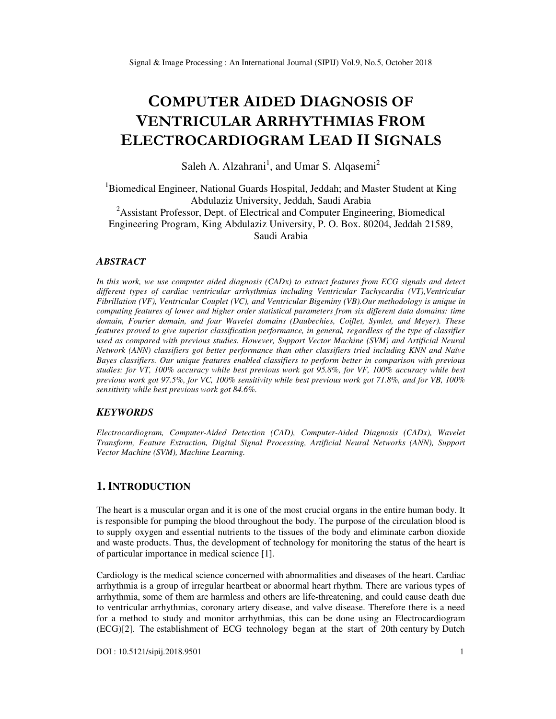# **COMPUTER AIDED DIAGNOSIS OF VENTRICULAR ARRHYTHMIAS FROM ELECTROCARDIOGRAM LEAD II SIGNALS**

Saleh A. Alzahrani<sup>1</sup>, and Umar S. Alqasemi<sup>2</sup>

<sup>1</sup>Biomedical Engineer, National Guards Hospital, Jeddah; and Master Student at King Abdulaziz University, Jeddah, Saudi Arabia <sup>2</sup>Assistant Professor, Dept. of Electrical and Computer Engineering, Biomedical Engineering Program, King Abdulaziz University, P. O. Box. 80204, Jeddah 21589, Saudi Arabia

## *ABSTRACT*

*In this work, we use computer aided diagnosis (CADx) to extract features from ECG signals and detect different types of cardiac ventricular arrhythmias including Ventricular Tachycardia (VT),Ventricular Fibrillation (VF), Ventricular Couplet (VC), and Ventricular Bigeminy (VB).Our methodology is unique in computing features of lower and higher order statistical parameters from six different data domains: time domain, Fourier domain, and four Wavelet domains (Daubechies, Coiflet, Symlet, and Meyer). These features proved to give superior classification performance, in general, regardless of the type of classifier used as compared with previous studies. However, Support Vector Machine (SVM) and Artificial Neural Network (ANN) classifiers got better performance than other classifiers tried including KNN and Naïve Bayes classifiers. Our unique features enabled classifiers to perform better in comparison with previous studies: for VT, 100% accuracy while best previous work got 95.8%, for VF, 100% accuracy while best previous work got 97.5%, for VC, 100% sensitivity while best previous work got 71.8%, and for VB, 100% sensitivity while best previous work got 84.6%.* 

#### *KEYWORDS*

*Electrocardiogram, Computer-Aided Detection (CAD), Computer-Aided Diagnosis (CADx), Wavelet Transform, Feature Extraction, Digital Signal Processing, Artificial Neural Networks (ANN), Support Vector Machine (SVM), Machine Learning.* 

# **1. INTRODUCTION**

The heart is a muscular organ and it is one of the most crucial organs in the entire human body. It is responsible for pumping the blood throughout the body. The purpose of the circulation blood is to supply oxygen and essential nutrients to the tissues of the body and eliminate carbon dioxide and waste products. Thus, the development of technology for monitoring the status of the heart is of particular importance in medical science [1].

Cardiology is the medical science concerned with abnormalities and diseases of the heart. Cardiac arrhythmia is a group of irregular heartbeat or abnormal heart rhythm. There are various types of arrhythmia, some of them are harmless and others are life-threatening, and could cause death due to ventricular arrhythmias, coronary artery disease, and valve disease. Therefore there is a need for a method to study and monitor arrhythmias, this can be done using an Electrocardiogram (ECG)[2]. The establishment of ECG technology began at the start of 20th century by Dutch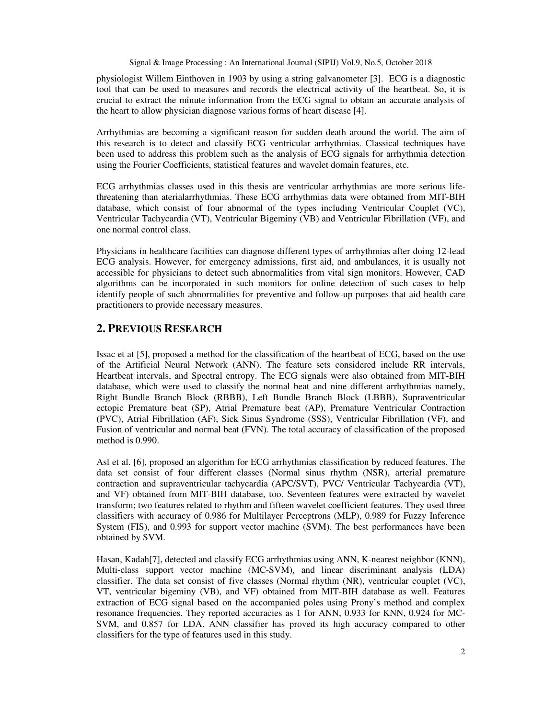physiologist Willem Einthoven in 1903 by using a string galvanometer [3]. ECG is a diagnostic tool that can be used to measures and records the electrical activity of the heartbeat. So, it is crucial to extract the minute information from the ECG signal to obtain an accurate analysis of the heart to allow physician diagnose various forms of heart disease [4].

Arrhythmias are becoming a significant reason for sudden death around the world. The aim of this research is to detect and classify ECG ventricular arrhythmias. Classical techniques have been used to address this problem such as the analysis of ECG signals for arrhythmia detection using the Fourier Coefficients, statistical features and wavelet domain features, etc.

ECG arrhythmias classes used in this thesis are ventricular arrhythmias are more serious lifethreatening than aterialarrhythmias. These ECG arrhythmias data were obtained from MIT-BIH database, which consist of four abnormal of the types including Ventricular Couplet (VC), Ventricular Tachycardia (VT), Ventricular Bigeminy (VB) and Ventricular Fibrillation (VF), and one normal control class.

Physicians in healthcare facilities can diagnose different types of arrhythmias after doing 12-lead ECG analysis. However, for emergency admissions, first aid, and ambulances, it is usually not accessible for physicians to detect such abnormalities from vital sign monitors. However, CAD algorithms can be incorporated in such monitors for online detection of such cases to help identify people of such abnormalities for preventive and follow-up purposes that aid health care practitioners to provide necessary measures.

# **2. PREVIOUS RESEARCH**

Issac et at [5], proposed a method for the classification of the heartbeat of ECG, based on the use of the Artificial Neural Network (ANN). The feature sets considered include RR intervals, Heartbeat intervals, and Spectral entropy. The ECG signals were also obtained from MIT-BIH database, which were used to classify the normal beat and nine different arrhythmias namely, Right Bundle Branch Block (RBBB), Left Bundle Branch Block (LBBB), Supraventricular ectopic Premature beat (SP), Atrial Premature beat (AP), Premature Ventricular Contraction (PVC), Atrial Fibrillation (AF), Sick Sinus Syndrome (SSS), Ventricular Fibrillation (VF), and Fusion of ventricular and normal beat (FVN). The total accuracy of classification of the proposed method is 0.990.

Asl et al. [6], proposed an algorithm for ECG arrhythmias classification by reduced features. The data set consist of four different classes (Normal sinus rhythm (NSR), arterial premature contraction and supraventricular tachycardia (APC/SVT), PVC/ Ventricular Tachycardia (VT), and VF) obtained from MIT-BIH database, too. Seventeen features were extracted by wavelet transform; two features related to rhythm and fifteen wavelet coefficient features. They used three classifiers with accuracy of 0.986 for Multilayer Perceptrons (MLP), 0.989 for Fuzzy Inference System (FIS), and 0.993 for support vector machine (SVM). The best performances have been obtained by SVM.

Hasan, Kadah[7], detected and classify ECG arrhythmias using ANN, K-nearest neighbor (KNN), Multi-class support vector machine (MC-SVM), and linear discriminant analysis (LDA) classifier. The data set consist of five classes (Normal rhythm (NR), ventricular couplet (VC), VT, ventricular bigeminy (VB), and VF) obtained from MIT-BIH database as well. Features extraction of ECG signal based on the accompanied poles using Prony's method and complex resonance frequencies. They reported accuracies as 1 for ANN, 0.933 for KNN, 0.924 for MC-SVM, and 0.857 for LDA. ANN classifier has proved its high accuracy compared to other classifiers for the type of features used in this study.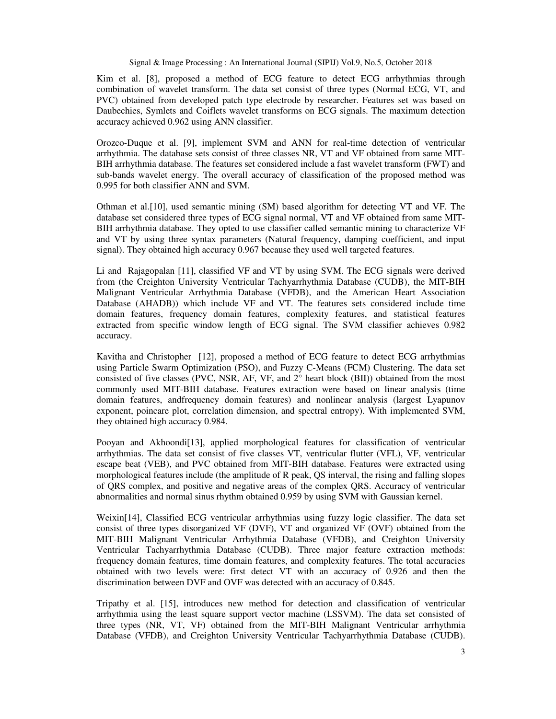Kim et al. [8], proposed a method of ECG feature to detect ECG arrhythmias through combination of wavelet transform. The data set consist of three types (Normal ECG, VT, and PVC) obtained from developed patch type electrode by researcher. Features set was based on Daubechies, Symlets and Coiflets wavelet transforms on ECG signals. The maximum detection accuracy achieved 0.962 using ANN classifier.

Orozco-Duque et al. [9], implement SVM and ANN for real-time detection of ventricular arrhythmia. The database sets consist of three classes NR, VT and VF obtained from same MIT-BIH arrhythmia database. The features set considered include a fast wavelet transform (FWT) and sub-bands wavelet energy. The overall accuracy of classification of the proposed method was 0.995 for both classifier ANN and SVM.

Othman et al.[10], used semantic mining (SM) based algorithm for detecting VT and VF. The database set considered three types of ECG signal normal, VT and VF obtained from same MIT-BIH arrhythmia database. They opted to use classifier called semantic mining to characterize VF and VT by using three syntax parameters (Natural frequency, damping coefficient, and input signal). They obtained high accuracy 0.967 because they used well targeted features.

Li and Rajagopalan [11], classified VF and VT by using SVM. The ECG signals were derived from (the Creighton University Ventricular Tachyarrhythmia Database (CUDB), the MIT-BIH Malignant Ventricular Arrhythmia Database (VFDB), and the American Heart Association Database (AHADB)) which include VF and VT. The features sets considered include time domain features, frequency domain features, complexity features, and statistical features extracted from specific window length of ECG signal. The SVM classifier achieves 0.982 accuracy.

Kavitha and Christopher [12], proposed a method of ECG feature to detect ECG arrhythmias using Particle Swarm Optimization (PSO), and Fuzzy C-Means (FCM) Clustering. The data set consisted of five classes (PVC, NSR, AF, VF, and 2° heart block (BII)) obtained from the most commonly used MIT-BIH database. Features extraction were based on linear analysis (time domain features, andfrequency domain features) and nonlinear analysis (largest Lyapunov exponent, poincare plot, correlation dimension, and spectral entropy). With implemented SVM, they obtained high accuracy 0.984.

Pooyan and Akhoondi[13], applied morphological features for classification of ventricular arrhythmias. The data set consist of five classes VT, ventricular flutter (VFL), VF, ventricular escape beat (VEB), and PVC obtained from MIT-BIH database. Features were extracted using morphological features include (the amplitude of R peak, QS interval, the rising and falling slopes of QRS complex, and positive and negative areas of the complex QRS. Accuracy of ventricular abnormalities and normal sinus rhythm obtained 0.959 by using SVM with Gaussian kernel.

Weixin[14], Classified ECG ventricular arrhythmias using fuzzy logic classifier. The data set consist of three types disorganized VF (DVF), VT and organized VF (OVF) obtained from the MIT-BIH Malignant Ventricular Arrhythmia Database (VFDB), and Creighton University Ventricular Tachyarrhythmia Database (CUDB). Three major feature extraction methods: frequency domain features, time domain features, and complexity features. The total accuracies obtained with two levels were: first detect VT with an accuracy of 0.926 and then the discrimination between DVF and OVF was detected with an accuracy of 0.845.

Tripathy et al. [15], introduces new method for detection and classification of ventricular arrhythmia using the least square support vector machine (LSSVM). The data set consisted of three types (NR, VT, VF) obtained from the MIT-BIH Malignant Ventricular arrhythmia Database (VFDB), and Creighton University Ventricular Tachyarrhythmia Database (CUDB).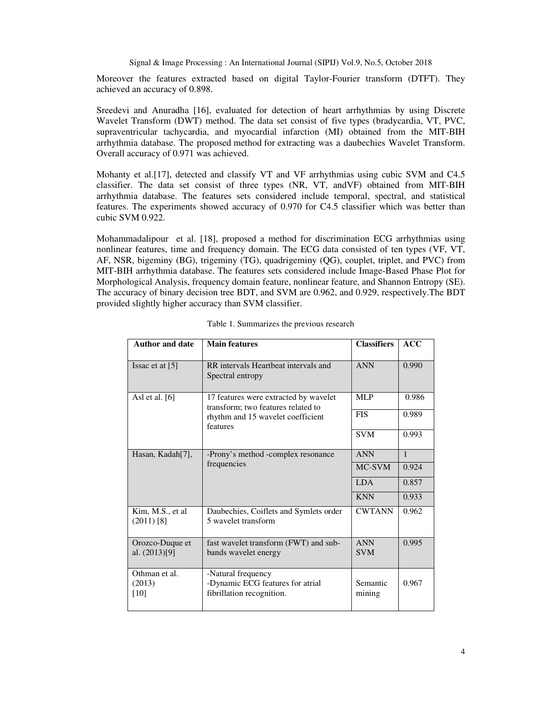Moreover the features extracted based on digital Taylor-Fourier transform (DTFT). They achieved an accuracy of 0.898.

Sreedevi and Anuradha [16], evaluated for detection of heart arrhythmias by using Discrete Wavelet Transform (DWT) method. The data set consist of five types (bradycardia, VT, PVC, supraventricular tachycardia, and myocardial infarction (MI) obtained from the MIT-BIH arrhythmia database. The proposed method for extracting was a daubechies Wavelet Transform. Overall accuracy of 0.971 was achieved.

Mohanty et al.[17], detected and classify VT and VF arrhythmias using cubic SVM and C4.5 classifier. The data set consist of three types (NR, VT, andVF) obtained from MIT-BIH arrhythmia database. The features sets considered include temporal, spectral, and statistical features. The experiments showed accuracy of 0.970 for C4.5 classifier which was better than cubic SVM 0.922.

Mohammadalipour et al. [18], proposed a method for discrimination ECG arrhythmias using nonlinear features, time and frequency domain. The ECG data consisted of ten types (VF, VT, AF, NSR, bigeminy (BG), trigeminy (TG), quadrigeminy (QG), couplet, triplet, and PVC) from MIT-BIH arrhythmia database. The features sets considered include Image-Based Phase Plot for Morphological Analysis, frequency domain feature, nonlinear feature, and Shannon Entropy (SE). The accuracy of binary decision tree BDT, and SVM are 0.962, and 0.929, respectively.The BDT provided slightly higher accuracy than SVM classifier.

| <b>Author and date</b>             | <b>Main features</b>                                                                | <b>Classifiers</b>       | ACC          |
|------------------------------------|-------------------------------------------------------------------------------------|--------------------------|--------------|
| Issac et at $[5]$                  | RR intervals Heartbeat intervals and<br>Spectral entropy                            | <b>ANN</b>               | 0.990        |
| Asl et al. $[6]$                   | 17 features were extracted by wavelet<br>transform; two features related to         | <b>MLP</b>               | 0.986        |
|                                    | rhythm and 15 wavelet coefficient<br>features                                       | <b>FIS</b>               | 0.989        |
|                                    |                                                                                     | <b>SVM</b>               | 0.993        |
| Hasan, Kadah[7],                   | -Prony's method -complex resonance                                                  | <b>ANN</b>               | $\mathbf{1}$ |
|                                    | frequencies                                                                         | MC-SVM                   | 0.924        |
|                                    |                                                                                     | <b>LDA</b>               | 0.857        |
|                                    |                                                                                     | <b>KNN</b>               | 0.933        |
| Kim, M.S., et al.<br>$(2011)$ [8]  | Daubechies, Coiflets and Symlets order<br>5 wavelet transform                       | <b>CWTANN</b>            | 0.962        |
| Orozco-Duque et<br>al. $(2013)[9]$ | fast wavelet transform (FWT) and sub-<br>bands wavelet energy                       | <b>ANN</b><br><b>SVM</b> | 0.995        |
| Othman et al.<br>(2013)<br>[10]    | -Natural frequency<br>-Dynamic ECG features for atrial<br>fibrillation recognition. | Semantic<br>mining       | 0.967        |

| Table 1. Summarizes the previous research |  |
|-------------------------------------------|--|
|-------------------------------------------|--|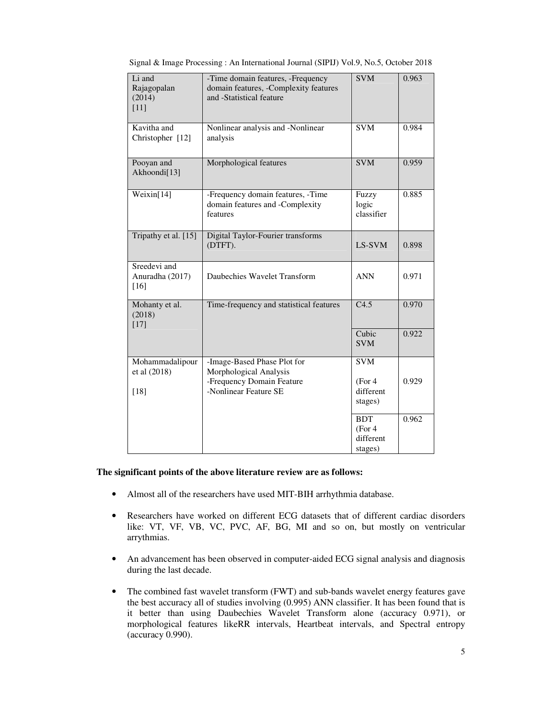| Li and<br>Rajagopalan<br>(2014)<br>$[11]$ | -Time domain features, -Frequency<br>domain features, -Complexity features<br>and -Statistical feature      | <b>SVM</b>                                    | 0.963 |
|-------------------------------------------|-------------------------------------------------------------------------------------------------------------|-----------------------------------------------|-------|
| Kavitha and<br>Christopher [12]           | Nonlinear analysis and -Nonlinear<br>analysis                                                               | $\overline{\text{SVM}}$                       | 0.984 |
| Pooyan and<br>Akhoondi[13]                | Morphological features                                                                                      | SVM                                           | 0.959 |
| Weixin[14]                                | -Frequency domain features, -Time<br>domain features and -Complexity<br>features                            | Fuzzy<br>logic<br>classifier                  | 0.885 |
| Tripathy et al. [15]                      | Digital Taylor-Fourier transforms<br>(DTFT).                                                                | LS-SVM                                        | 0.898 |
| Sreedevi and<br>Anuradha (2017)<br>[16]   | Daubechies Wavelet Transform                                                                                | <b>ANN</b>                                    | 0.971 |
| Mohanty et al.<br>(2018)<br>$[17]$        | Time-frequency and statistical features                                                                     | C4.5                                          | 0.970 |
|                                           |                                                                                                             | Cubic<br><b>SVM</b>                           | 0.922 |
| Mohammadalipour<br>et al (2018)<br>[18]   | -Image-Based Phase Plot for<br>Morphological Analysis<br>-Frequency Domain Feature<br>-Nonlinear Feature SE | <b>SVM</b><br>(For 4)<br>different<br>stages) | 0.929 |
|                                           |                                                                                                             | <b>BDT</b><br>(For 4)<br>different<br>stages) | 0.962 |

Signal & Image Processing : An International Journal (SIPIJ) Vol.9, No.5, October 2018

# **The significant points of the above literature review are as follows:**

- Almost all of the researchers have used MIT-BIH arrhythmia database.
- Researchers have worked on different ECG datasets that of different cardiac disorders like: VT, VF, VB, VC, PVC, AF, BG, MI and so on, but mostly on ventricular arrythmias.
- An advancement has been observed in computer-aided ECG signal analysis and diagnosis during the last decade.
- The combined fast wavelet transform (FWT) and sub-bands wavelet energy features gave the best accuracy all of studies involving (0.995) ANN classifier. It has been found that is it better than using Daubechies Wavelet Transform alone (accuracy 0.971), or morphological features likeRR intervals, Heartbeat intervals, and Spectral entropy (accuracy 0.990).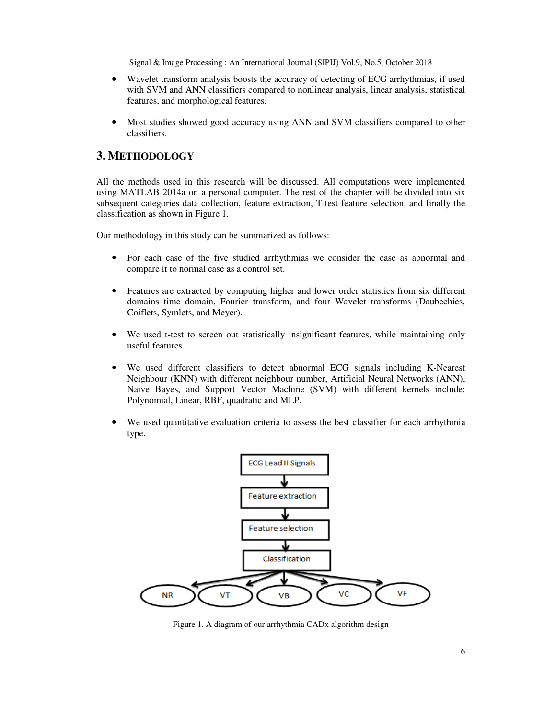- Wavelet transform analysis boosts the accuracy of detecting of ECG arrhythmias, if used with SVM and ANN classifiers compared to nonlinear analysis, linear analysis, statistical features, and morphological features.
- Most studies showed good accuracy using ANN and SVM classifiers compared to other classifiers.

# **3. METHODOLOGY**

All the methods used in this research will be discussed. All computations were implemented using MATLAB 2014a on a personal computer. The rest of the chapter will be divided into six subsequent categories data collection, feature extraction, T-test feature selection, and finally the classification as shown in Figure 1.

Our methodology in this study can be summarized as follows:

- For each case of the five studied arrhythmias we consider the case as abnormal and compare it to normal case as a control set.
- Features are extracted by computing higher and lower order statistics from six different domains time domain, Fourier transform, and four Wavelet transforms (Daubechies, Coiflets, Symlets, and Meyer).
- We used t-test to screen out statistically insignificant features, while maintaining only useful features.
- We used different classifiers to detect abnormal ECG signals including K-Nearest Neighbour (KNN) with different neighbour number, Artificial Neural Networks (ANN), Naive Bayes, and Support Vector Machine (SVM) with different kernels include: Polynomial, Linear, RBF, quadratic and MLP.
- We used quantitative evaluation criteria to assess the best classifier for each arrhythmia type.



Figure 1. A diagram of our arrhythmia CADx algorithm design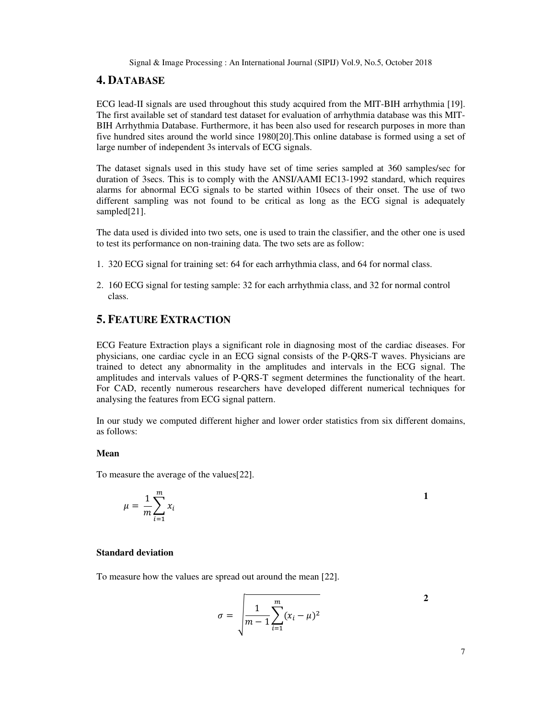# **4. DATABASE**

ECG lead-II signals are used throughout this study acquired from the MIT-BIH arrhythmia [19]. The first available set of standard test dataset for evaluation of arrhythmia database was this MIT-BIH Arrhythmia Database. Furthermore, it has been also used for research purposes in more than five hundred sites around the world since 1980[20].This online database is formed using a set of large number of independent 3s intervals of ECG signals.

The dataset signals used in this study have set of time series sampled at 360 samples/sec for duration of 3secs. This is to comply with the ANSI/AAMI EC13-1992 standard, which requires alarms for abnormal ECG signals to be started within 10secs of their onset. The use of two different sampling was not found to be critical as long as the ECG signal is adequately sampled[21].

The data used is divided into two sets, one is used to train the classifier, and the other one is used to test its performance on non-training data. The two sets are as follow:

- 1. 320 ECG signal for training set: 64 for each arrhythmia class, and 64 for normal class.
- 2. 160 ECG signal for testing sample: 32 for each arrhythmia class, and 32 for normal control class.

# **5. FEATURE EXTRACTION**

ECG Feature Extraction plays a significant role in diagnosing most of the cardiac diseases. For physicians, one cardiac cycle in an ECG signal consists of the P-QRS-T waves. Physicians are trained to detect any abnormality in the amplitudes and intervals in the ECG signal. The amplitudes and intervals values of P-QRS-T segment determines the functionality of the heart. For CAD, recently numerous researchers have developed different numerical techniques for analysing the features from ECG signal pattern.

In our study we computed different higher and lower order statistics from six different domains, as follows:

# **Mean**

To measure the average of the values[22].

$$
\mu = \frac{1}{m} \sum_{i=1}^{m} x_i
$$

#### **Standard deviation**

To measure how the values are spread out around the mean [22].

$$
\sigma = \sqrt{\frac{1}{m-1} \sum_{i=1}^{m} (x_i - \mu)^2}
$$

**2**

**1**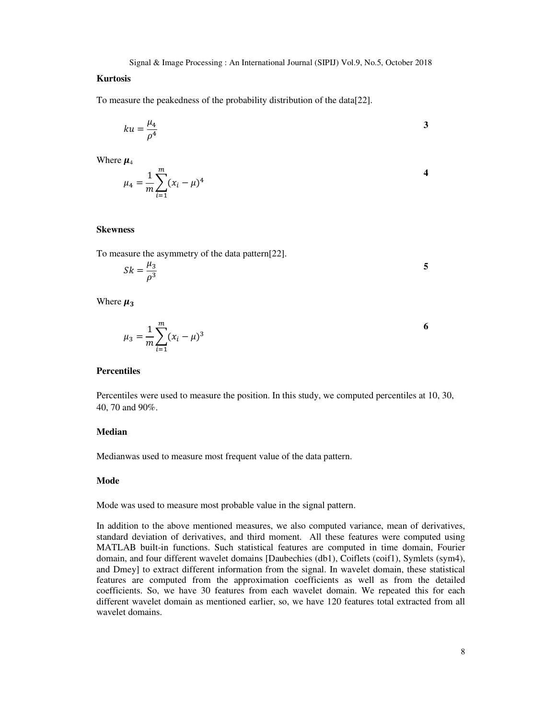#### **Kurtosis**

To measure the peakedness of the probability distribution of the data[22].

$$
ku = \frac{\mu_4}{\rho^4} \tag{3}
$$

Where  $\mu_4$ 

$$
\mu_4 = \frac{1}{m} \sum_{i=1}^{m} (x_i - \mu)^4
$$

#### **Skewness**

To measure the asymmetry of the data pattern[22].

$$
Sk = \frac{\mu_3}{\rho^3} \tag{5}
$$

Where  $\mu_3$ 

$$
\mu_3 = \frac{1}{m} \sum_{i=1}^{m} (x_i - \mu)^3
$$
6

## **Percentiles**

Percentiles were used to measure the position. In this study, we computed percentiles at 10, 30, 40, 70 and 90%.

#### **Median**

Medianwas used to measure most frequent value of the data pattern.

#### **Mode**

Mode was used to measure most probable value in the signal pattern.

In addition to the above mentioned measures, we also computed variance, mean of derivatives, standard deviation of derivatives, and third moment. All these features were computed using MATLAB built-in functions. Such statistical features are computed in time domain, Fourier domain, and four different wavelet domains [Daubechies (db1), Coiflets (coif1), Symlets (sym4), and Dmey] to extract different information from the signal. In wavelet domain, these statistical features are computed from the approximation coefficients as well as from the detailed coefficients. So, we have 30 features from each wavelet domain. We repeated this for each different wavelet domain as mentioned earlier, so, we have 120 features total extracted from all wavelet domains.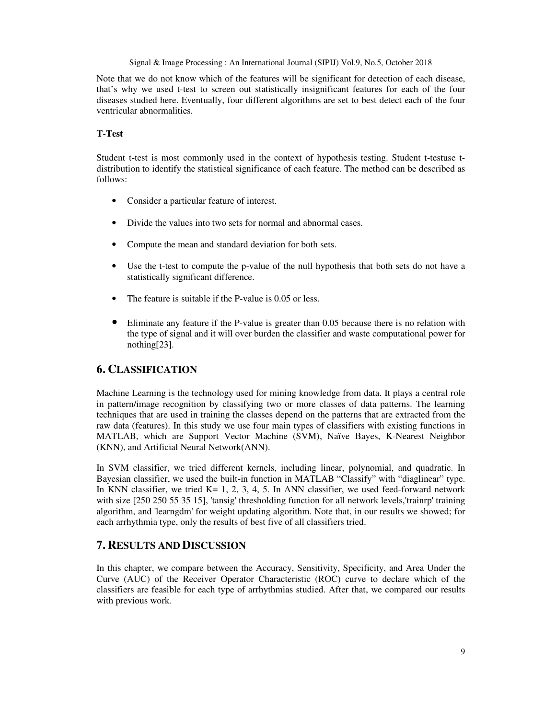Note that we do not know which of the features will be significant for detection of each disease, that's why we used t-test to screen out statistically insignificant features for each of the four diseases studied here. Eventually, four different algorithms are set to best detect each of the four ventricular abnormalities.

#### **T-Test**

Student t-test is most commonly used in the context of hypothesis testing. Student t-testuse tdistribution to identify the statistical significance of each feature. The method can be described as follows:

- Consider a particular feature of interest.
- Divide the values into two sets for normal and abnormal cases.
- Compute the mean and standard deviation for both sets.
- Use the t-test to compute the p-value of the null hypothesis that both sets do not have a statistically significant difference.
- The feature is suitable if the P-value is 0.05 or less.
- Eliminate any feature if the P-value is greater than 0.05 because there is no relation with the type of signal and it will over burden the classifier and waste computational power for nothing[23].

# **6. CLASSIFICATION**

Machine Learning is the technology used for mining knowledge from data. It plays a central role in pattern/image recognition by classifying two or more classes of data patterns. The learning techniques that are used in training the classes depend on the patterns that are extracted from the raw data (features). In this study we use four main types of classifiers with existing functions in MATLAB, which are Support Vector Machine (SVM), Naïve Bayes, K-Nearest Neighbor (KNN), and Artificial Neural Network(ANN).

In SVM classifier, we tried different kernels, including linear, polynomial, and quadratic. In Bayesian classifier, we used the built-in function in MATLAB "Classify" with "diaglinear" type. In KNN classifier, we tried K=  $1, 2, 3, 4, 5$ . In ANN classifier, we used feed-forward network with size [250 250 55 35 15], 'tansig' thresholding function for all network levels,'trainrp' training algorithm, and 'learngdm' for weight updating algorithm. Note that, in our results we showed; for each arrhythmia type, only the results of best five of all classifiers tried.

# **7. RESULTS AND DISCUSSION**

In this chapter, we compare between the Accuracy, Sensitivity, Specificity, and Area Under the Curve (AUC) of the Receiver Operator Characteristic (ROC) curve to declare which of the classifiers are feasible for each type of arrhythmias studied. After that, we compared our results with previous work.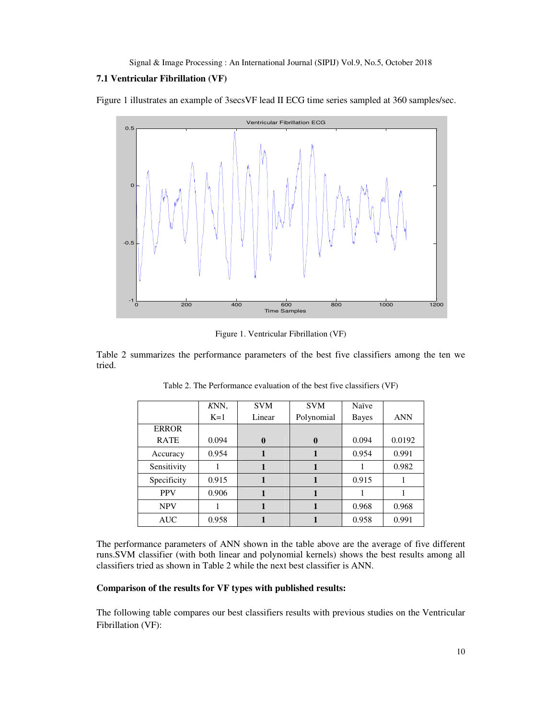#### **7.1 Ventricular Fibrillation (VF)**

Figure 1 illustrates an example of 3secsVF lead II ECG time series sampled at 360 samples/sec.



Figure 1. Ventricular Fibrillation (VF)

Table 2 summarizes the performance parameters of the best five classifiers among the ten we tried.

|              | KNN,  | <b>SVM</b>   | <b>SVM</b>   | Naïve |            |
|--------------|-------|--------------|--------------|-------|------------|
|              | $K=1$ | Linear       | Polynomial   | Bayes | <b>ANN</b> |
| <b>ERROR</b> |       |              |              |       |            |
| <b>RATE</b>  | 0.094 | $\mathbf{0}$ | $\mathbf{0}$ | 0.094 | 0.0192     |
| Accuracy     | 0.954 |              |              | 0.954 | 0.991      |
| Sensitivity  |       |              |              |       | 0.982      |
| Specificity  | 0.915 |              |              | 0.915 |            |
| <b>PPV</b>   | 0.906 |              |              |       |            |
| <b>NPV</b>   |       |              |              | 0.968 | 0.968      |
| <b>AUC</b>   | 0.958 |              |              | 0.958 | 0.991      |

Table 2. The Performance evaluation of the best five classifiers (VF)

The performance parameters of ANN shown in the table above are the average of five different runs.SVM classifier (with both linear and polynomial kernels) shows the best results among all classifiers tried as shown in Table 2 while the next best classifier is ANN.

# **Comparison of the results for VF types with published results:**

The following table compares our best classifiers results with previous studies on the Ventricular Fibrillation (VF):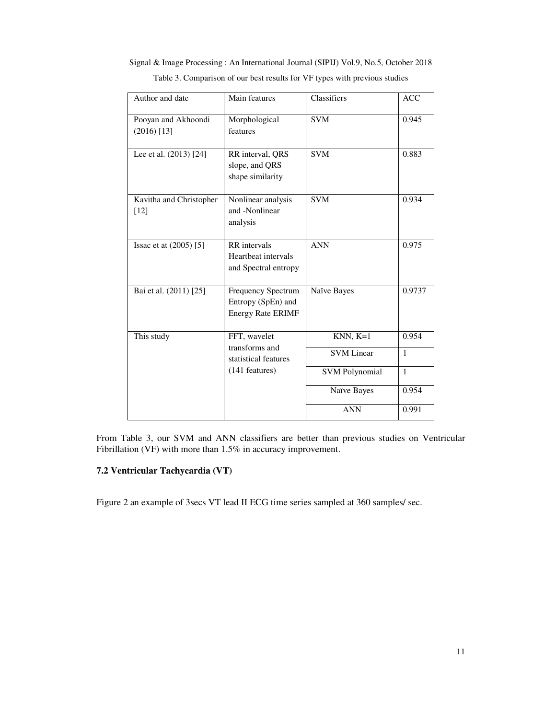| Author and date                       | Main features                                                        | Classifiers           | <b>ACC</b>   |
|---------------------------------------|----------------------------------------------------------------------|-----------------------|--------------|
| Pooyan and Akhoondi<br>$(2016)$ [13]  | Morphological<br>features                                            | <b>SVM</b>            | 0.945        |
| Lee et al. $(2013)$ $\overline{[24]}$ | RR interval, QRS<br>slope, and QRS<br>shape similarity               | <b>SVM</b>            | 0.883        |
| Kavitha and Christopher<br>$[12]$     | Nonlinear analysis<br>and -Nonlinear<br>analysis                     | <b>SVM</b>            | 0.934        |
| Issac et at (2005) [5]                | RR intervals<br>Heartheat intervals<br>and Spectral entropy          | <b>ANN</b>            | 0.975        |
| Bai et al. (2011) [25]                | Frequency Spectrum<br>Entropy (SpEn) and<br><b>Energy Rate ERIMF</b> | Naïve Bayes           | 0.9737       |
| This study                            | FFT, wavelet<br>transforms and                                       | $KNN, K=1$            | 0.954        |
|                                       | statistical features                                                 | <b>SVM</b> Linear     | $\mathbf{1}$ |
|                                       | (141 features)                                                       | <b>SVM Polynomial</b> | $\mathbf{1}$ |
|                                       |                                                                      | Naïve Bayes           | 0.954        |
|                                       |                                                                      | <b>ANN</b>            | 0.991        |

Signal & Image Processing : An International Journal (SIPIJ) Vol.9, No.5, October 2018 Table 3. Comparison of our best results for VF types with previous studies

From Table 3, our SVM and ANN classifiers are better than previous studies on Ventricular Fibrillation (VF) with more than 1.5% in accuracy improvement.

# **7.2 Ventricular Tachycardia (VT)**

Figure 2 an example of 3secs VT lead II ECG time series sampled at 360 samples/ sec.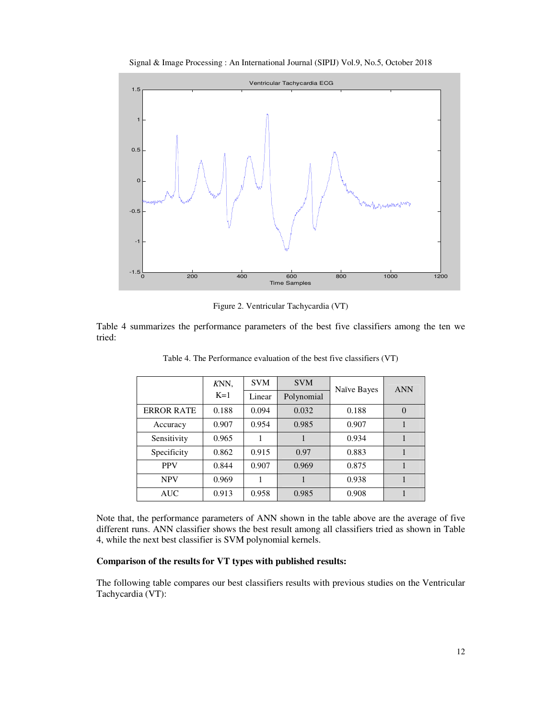



Figure 2. Ventricular Tachycardia (VT)

Table 4 summarizes the performance parameters of the best five classifiers among the ten we tried:

|                   | KNN,  | <b>SVM</b> | <b>SVM</b> | Naïve Bayes | <b>ANN</b> |
|-------------------|-------|------------|------------|-------------|------------|
|                   | $K=1$ | Linear     | Polynomial |             |            |
| <b>ERROR RATE</b> | 0.188 | 0.094      | 0.032      | 0.188       | $\Omega$   |
| Accuracy          | 0.907 | 0.954      | 0.985      | 0.907       |            |
| Sensitivity       | 0.965 |            |            | 0.934       |            |
| Specificity       | 0.862 | 0.915      | 0.97       | 0.883       |            |
| <b>PPV</b>        | 0.844 | 0.907      | 0.969      | 0.875       |            |
| <b>NPV</b>        | 0.969 |            |            | 0.938       |            |
| <b>AUC</b>        | 0.913 | 0.958      | 0.985      | 0.908       |            |

Table 4. The Performance evaluation of the best five classifiers (VT)

Note that, the performance parameters of ANN shown in the table above are the average of five different runs. ANN classifier shows the best result among all classifiers tried as shown in Table 4, while the next best classifier is SVM polynomial kernels.

## **Comparison of the results for VT types with published results:**

The following table compares our best classifiers results with previous studies on the Ventricular Tachycardia (VT):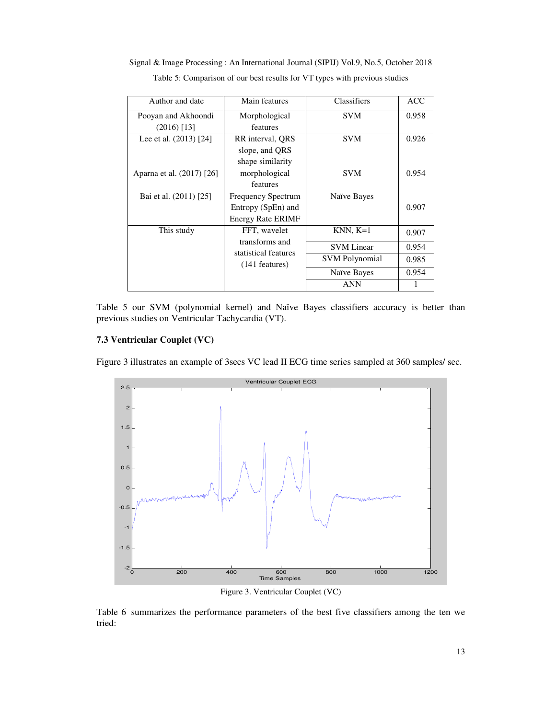| Author and date                      | Main features                                                               | Classifiers                                              | <b>ACC</b>              |
|--------------------------------------|-----------------------------------------------------------------------------|----------------------------------------------------------|-------------------------|
| Pooyan and Akhoondi<br>$(2016)$ [13] | Morphological<br>features                                                   | <b>SVM</b>                                               | 0.958                   |
| Lee et al. (2013) [24]               | RR interval, QRS<br>slope, and QRS<br>shape similarity                      | <b>SVM</b>                                               | 0.926                   |
| Aparna et al. (2017) [26]            | morphological<br>features                                                   | <b>SVM</b>                                               | 0.954                   |
| Bai et al. (2011) [25]               | <b>Frequency Spectrum</b><br>Entropy (SpEn) and<br><b>Energy Rate ERIMF</b> | Naïve Bayes                                              | 0.907                   |
| This study                           | FFT, wavelet<br>transforms and<br>statistical features                      | $KNN, K=1$<br><b>SVM</b> Linear<br><b>SVM</b> Polynomial | 0.907<br>0.954<br>0.985 |
|                                      | $(141$ features)                                                            | Naïve Bayes<br><b>ANN</b>                                | 0.954                   |

Signal & Image Processing : An International Journal (SIPIJ) Vol.9, No.5, October 2018 Table 5: Comparison of our best results for VT types with previous studies

Table 5 our SVM (polynomial kernel) and Naïve Bayes classifiers accuracy is better than previous studies on Ventricular Tachycardia (VT).

# **7.3 Ventricular Couplet (VC)**

Figure 3 illustrates an example of 3secs VC lead II ECG time series sampled at 360 samples/ sec.



Figure 3. Ventricular Couplet (VC)

Table 6 summarizes the performance parameters of the best five classifiers among the ten we tried: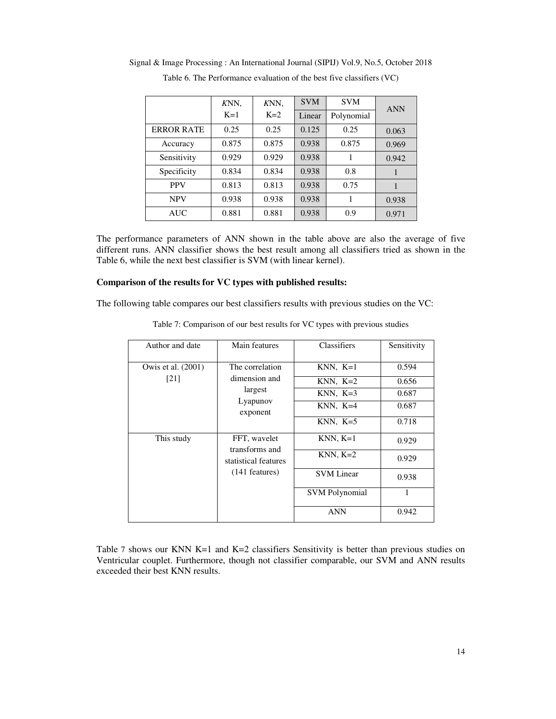|                   | KNN,  | KNN,  | <b>SVM</b> | <b>SVM</b> | <b>ANN</b> |
|-------------------|-------|-------|------------|------------|------------|
|                   | $K=1$ | $K=2$ | Linear     | Polynomial |            |
| <b>ERROR RATE</b> | 0.25  | 0.25  | 0.125      | 0.25       | 0.063      |
| Accuracy          | 0.875 | 0.875 | 0.938      | 0.875      | 0.969      |
| Sensitivity       | 0.929 | 0.929 | 0.938      |            | 0.942      |
| Specificity       | 0.834 | 0.834 | 0.938      | 0.8        |            |
| <b>PPV</b>        | 0.813 | 0.813 | 0.938      | 0.75       |            |
| <b>NPV</b>        | 0.938 | 0.938 | 0.938      |            | 0.938      |
| <b>AUC</b>        | 0.881 | 0.881 | 0.938      | 0.9        | 0.971      |

Signal & Image Processing : An International Journal (SIPIJ) Vol.9, No.5, October 2018

Table 6. The Performance evaluation of the best five classifiers (VC)

The performance parameters of ANN shown in the table above are also the average of five different runs. ANN classifier shows the best result among all classifiers tried as shown in the Table 6, while the next best classifier is SVM (with linear kernel).

#### **Comparison of the results for VC types with published results:**

The following table compares our best classifiers results with previous studies on the VC:

| Author and date            | Main features                                                              | Classifiers                                                        | Sensitivity                               |
|----------------------------|----------------------------------------------------------------------------|--------------------------------------------------------------------|-------------------------------------------|
| Owis et al. (2001)<br>[21] | The correlation<br>dimension and<br>largest<br>Lyapunov<br>exponent        | $KNN, K=1$<br>$KNN, K=2$<br>$KNN, K=3$<br>$KNN, K=4$<br>$KNN, K=5$ | 0.594<br>0.656<br>0.687<br>0.687<br>0.718 |
| This study                 | FFT, wavelet<br>transforms and<br>statistical features<br>$(141$ features) | $KNN, K=1$<br>$KNN, K=2$<br><b>SVM</b> Linear                      | 0.929<br>0.929<br>0.938                   |
|                            |                                                                            | <b>SVM Polynomial</b><br><b>ANN</b>                                | 1<br>0.942                                |

Table 7: Comparison of our best results for VC types with previous studies

Table 7 shows our KNN K=1 and K=2 classifiers Sensitivity is better than previous studies on Ventricular couplet. Furthermore, though not classifier comparable, our SVM and ANN results exceeded their best KNN results.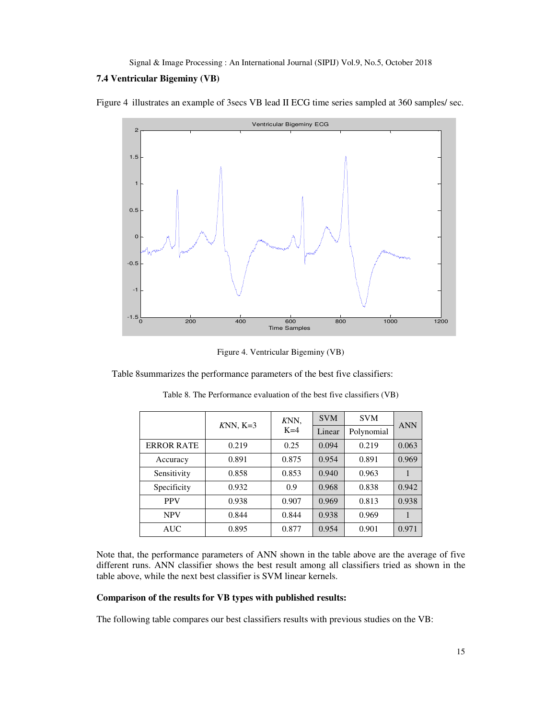## **7.4 Ventricular Bigeminy (VB)**

Figure 4 illustrates an example of 3secs VB lead II ECG time series sampled at 360 samples/ sec.



Figure 4. Ventricular Bigeminy (VB)

Table 8summarizes the performance parameters of the best five classifiers:

|                   | KNN,<br>$KNN, K=3$ |       | <b>SVM</b> | <b>SVM</b> | <b>ANN</b> |  |
|-------------------|--------------------|-------|------------|------------|------------|--|
|                   |                    | $K=4$ | Linear     | Polynomial |            |  |
| <b>ERROR RATE</b> | 0.219              | 0.25  | 0.094      | 0.219      | 0.063      |  |
| Accuracy          | 0.891              | 0.875 | 0.954      | 0.891      | 0.969      |  |
| Sensitivity       | 0.858              | 0.853 | 0.940      | 0.963      |            |  |
| Specificity       | 0.932              | 0.9   | 0.968      | 0.838      | 0.942      |  |
| <b>PPV</b>        | 0.938              | 0.907 | 0.969      | 0.813      | 0.938      |  |
| <b>NPV</b>        | 0.844              | 0.844 | 0.938      | 0.969      |            |  |
| <b>AUC</b>        | 0.895              | 0.877 | 0.954      | 0.901      | 0.971      |  |

Table 8. The Performance evaluation of the best five classifiers (VB)

Note that, the performance parameters of ANN shown in the table above are the average of five different runs. ANN classifier shows the best result among all classifiers tried as shown in the table above, while the next best classifier is SVM linear kernels.

## **Comparison of the results for VB types with published results:**

The following table compares our best classifiers results with previous studies on the VB: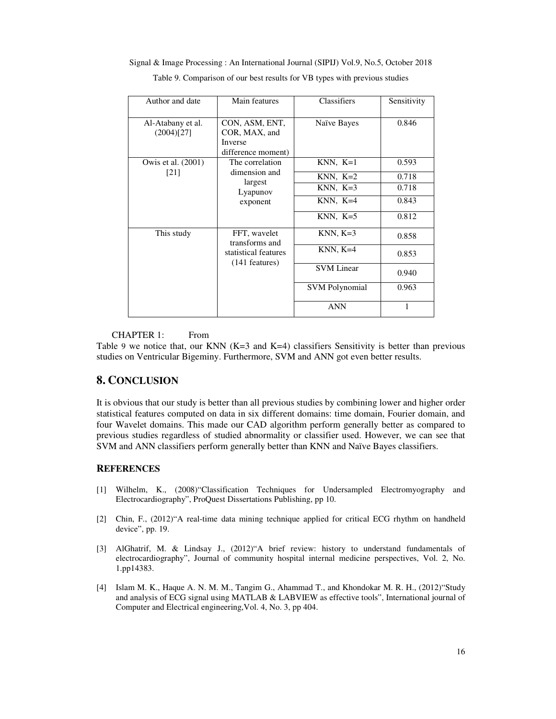| Author and date                 | Main features                                                           | Classifiers           | Sensitivity |
|---------------------------------|-------------------------------------------------------------------------|-----------------------|-------------|
| Al-Atabany et al.<br>(2004)[27] | CON, ASM, ENT,<br>COR, MAX, and<br><b>Inverse</b><br>difference moment) | Naïve Bayes           | 0.846       |
| Owis et al. (2001)              | The correlation                                                         | $KNN, K=1$            | 0.593       |
| [21]                            | dimension and<br>largest                                                | $KNN, K=2$            | 0.718       |
|                                 | Lyapunov<br>exponent                                                    | $KNN, K=3$            | 0.718       |
|                                 |                                                                         | $KNN, K=4$            | 0.843       |
|                                 |                                                                         | $KNN, K=5$            | 0.812       |
| This study                      | FFT, wavelet<br>transforms and                                          | $KNN, K=3$            | 0.858       |
|                                 | statistical features<br>$(141$ features)                                | $KNN, K=4$            | 0.853       |
|                                 |                                                                         | <b>SVM</b> Linear     | 0.940       |
|                                 |                                                                         | <b>SVM Polynomial</b> | 0.963       |
|                                 |                                                                         | <b>ANN</b>            |             |

Signal & Image Processing : An International Journal (SIPIJ) Vol.9, No.5, October 2018

Table 9. Comparison of our best results for VB types with previous studies

#### CHAPTER 1: From

Table 9 we notice that, our KNN  $(K=3$  and  $K=4$ ) classifiers Sensitivity is better than previous studies on Ventricular Bigeminy. Furthermore, SVM and ANN got even better results.

# **8. CONCLUSION**

It is obvious that our study is better than all previous studies by combining lower and higher order statistical features computed on data in six different domains: time domain, Fourier domain, and four Wavelet domains. This made our CAD algorithm perform generally better as compared to previous studies regardless of studied abnormality or classifier used. However, we can see that SVM and ANN classifiers perform generally better than KNN and Naïve Bayes classifiers.

#### **REFERENCES**

- [1] Wilhelm, K., (2008)"Classification Techniques for Undersampled Electromyography and Electrocardiography", ProQuest Dissertations Publishing, pp 10.
- [2] Chin, F., (2012)"A real-time data mining technique applied for critical ECG rhythm on handheld device", pp. 19.
- [3] AlGhatrif, M. & Lindsay J., (2012)"A brief review: history to understand fundamentals of electrocardiography", Journal of community hospital internal medicine perspectives, Vol. 2, No. 1.pp14383.
- [4] Islam M. K., Haque A. N. M. M., Tangim G., Ahammad T., and Khondokar M. R. H., (2012)"Study and analysis of ECG signal using MATLAB & LABVIEW as effective tools", International journal of Computer and Electrical engineering,Vol. 4, No. 3, pp 404.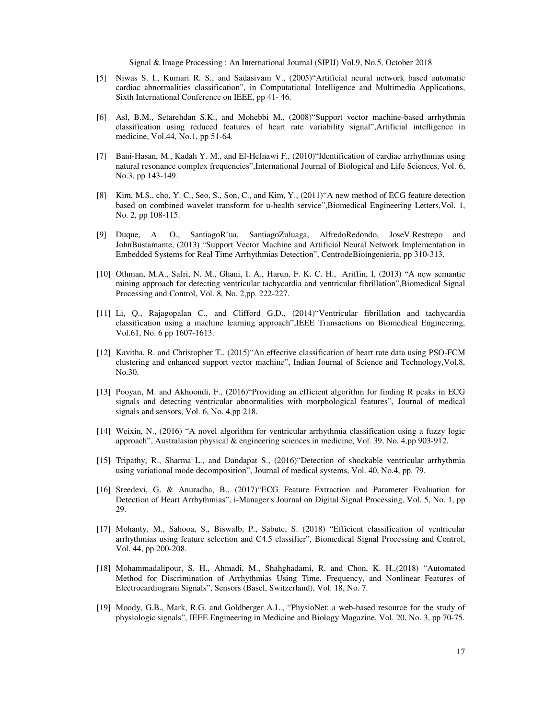- [5] Niwas S. I., Kumari R. S., and Sadasivam V., (2005)"Artificial neural network based automatic cardiac abnormalities classification", in Computational Intelligence and Multimedia Applications, Sixth International Conference on IEEE, pp 41- 46.
- [6] Asl, B.M., Setarehdan S.K., and Mohebbi M., (2008)"Support vector machine-based arrhythmia classification using reduced features of heart rate variability signal",Artificial intelligence in medicine, Vol.44, No.1, pp 51-64.
- [7] Bani-Hasan, M., Kadah Y. M., and El-Hefnawi F., (2010)"Identification of cardiac arrhythmias using natural resonance complex frequencies",International Journal of Biological and Life Sciences, Vol. 6, No.3, pp 143-149.
- [8] Kim, M.S., cho, Y. C., Seo, S., Son, C., and Kim, Y., (2011)"A new method of ECG feature detection based on combined wavelet transform for u-health service",Biomedical Engineering Letters,Vol. 1, No. 2, pp 108-115.
- [9] Duque, A. O., SantiagoR´ua, SantiagoZuluaga, AlfredoRedondo, JoseV.Restrepo and JohnBustamante, (2013) "Support Vector Machine and Artificial Neural Network Implementation in Embedded Systems for Real Time Arrhythmias Detection", CentrodeBioingenieria, pp 310-313.
- [10] Othman, M.A., Safri, N. M., Ghani, I. A., Harun, F. K. C. H., Ariffin, I, (2013) "A new semantic mining approach for detecting ventricular tachycardia and ventricular fibrillation",Biomedical Signal Processing and Control, Vol. 8, No. 2,pp. 222-227.
- [11] Li, Q., Rajagopalan C., and Clifford G.D., (2014)"Ventricular fibrillation and tachycardia classification using a machine learning approach",IEEE Transactions on Biomedical Engineering, Vol.61, No. 6 pp 1607-1613.
- [12] Kavitha, R. and Christopher T., (2015)"An effective classification of heart rate data using PSO-FCM clustering and enhanced support vector machine", Indian Journal of Science and Technology,Vol.8, No.30.
- [13] Pooyan, M. and Akhoondi, F., (2016)"Providing an efficient algorithm for finding R peaks in ECG signals and detecting ventricular abnormalities with morphological features", Journal of medical signals and sensors, Vol. 6, No. 4,pp 218.
- [14] Weixin, N., (2016) "A novel algorithm for ventricular arrhythmia classification using a fuzzy logic approach", Australasian physical & engineering sciences in medicine, Vol. 39, No. 4,pp 903-912.
- [15] Tripathy, R., Sharma L., and Dandapat S., (2016)"Detection of shockable ventricular arrhythmia using variational mode decomposition", Journal of medical systems, Vol. 40, No.4, pp. 79.
- [16] Sreedevi, G. & Anuradha, B., (2017)"ECG Feature Extraction and Parameter Evaluation for Detection of Heart Arrhythmias", i-Manager's Journal on Digital Signal Processing, Vol. 5, No. 1, pp 29.
- [17] Mohanty, M., Sahooa, S., Biswalb, P., Sabutc, S. (2018) "Efficient classification of ventricular arrhythmias using feature selection and C4.5 classifier", Biomedical Signal Processing and Control, Vol. 44, pp 200-208.
- [18] Mohammadalipour, S. H., Ahmadi, M., Shahghadami, R. and Chon, K. H.,(2018) "Automated Method for Discrimination of Arrhythmias Using Time, Frequency, and Nonlinear Features of Electrocardiogram Signals", Sensors (Basel, Switzerland), Vol. 18, No. 7.
- [19] Moody, G.B., Mark, R.G. and Goldberger A.L., "PhysioNet: a web-based resource for the study of physiologic signals", IEEE Engineering in Medicine and Biology Magazine, Vol. 20, No. 3, pp 70-75.